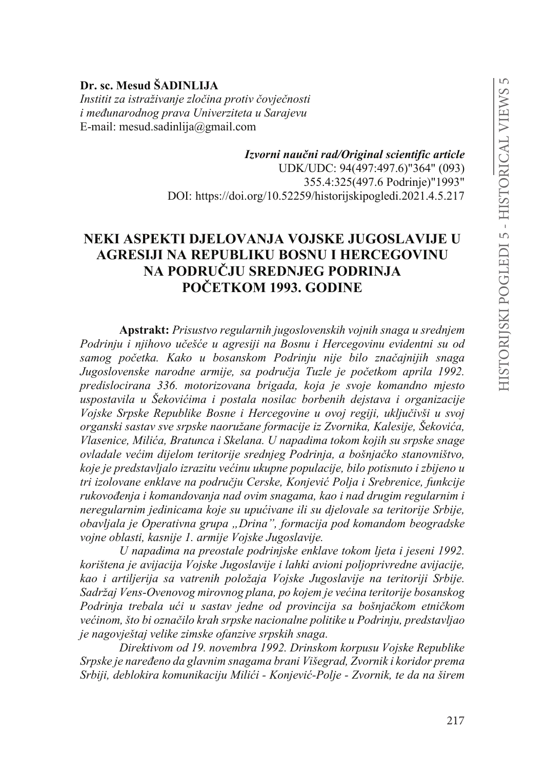# **Dr. sc. Mesud ŠADINLIJA**

Institit za istraživanje zločina protiv čovječnosti *i* međunarodnog prava Univerziteta u Sarajevu E-mail: mesud.sadinlija@gmail.com

> *,]YRUQLQDXþQLUDG2ULJLQDOVFLHQWLILFarticle* UDK/UDC: 94(497:497.6)"364" (093) 355.4:325(497.6 Podrinje)"1993" DOI: https://doi.org/10.52259/historijskipogledi.2021.4.5.217

## **NEKI ASPEKTI DJELOVANJA VOJSKE JUGOSLAVIJE U AGRESIJI NA REPUBLIKU BOSNU I HERCEGOVINU 1532 NA PODRUČJU SREDNJEG PODRINJA POČETKOM 1993. GODINE**

**Apstrakt:** *Prisustvo regularnih jugoslovenskih vojnih snaga u srednjem*  Podrinju i njihovo učešće u agresiji na Bosnu i Hercegovinu evidentni su od samog početka. Kako u bosanskom Podrinju nije bilo značajnijih snaga Jugoslovenske narodne armije, sa područja Tuzle je početkom aprila 1992. *predislocirana 336. motorizovana brigada, koja je svoje komandno mjesto XVSRVWDYLOD X âHNRYLüLPD L SRVWDOD QRVLODF ERUEHQLK GHMVWDYD L RUJDQL]DFLMH Vojske Srpske Republike Bosne i Hercegovine u ovoj regiji, uključivši u svoj organski sastav sve srpske naoružane formacije iz Zvornika, Kalesije, Šekovića, Vlasenice, Milića, Bratunca i Skelana, U napadima tokom kojih su srpske snage RYODGDOHYHüLPGLMHORPWHULWRULMHVUHGQMHJ3RGULQMDDERãQMDþNRVWDQRYQLãWYR NRMHMHSUHGVWDYOMDORL]UD]LWXYHüLQXXNXSQHSRSXODFLMHELORSRWLVQXWRL]ELMHQRX* tri izolovane enklave na području Cerske, Konjević Polja i Srebrenice, funkcije *UXNRYRÿHQMDLNRPDQGRYDQMDQDGRYLPVQDJDPDNDRLnad drugim regularnim i neregularnim jedinicama koje su upućivane ili su djelovale sa teritorije Srbije, obavljala je Operativna grupa "Drina", formacija pod komandom beogradske vojne oblasti, kasnije 1. armije Vojske Jugoslavije.*

*U napadima na preostale podrinjske enklave tokom ljeta i jeseni 1992. korištena je avijacija Vojske Jugoslavije i lahki avioni poljoprivredne avijacije, kao i artiljerija sa vatrenih položaja Vojske Jugoslavije na teritoriji Srbije. Sadržaj Vens-Ovenovog mirovnog plana, po kojem je većina teritorije bosanskog* Podrinja trebala ući u sastav jedne od provincija sa bošnjačkom etničkom *Većinom, što bi označilo krah srpske nacionalne politike u Podrinju, predstavljao je nagovještaj velike zimske ofanzive srpskih snaga.* 

*Direktivom od 19. novembra 1992. Drinskom korpusu Vojske Republike Srpske je naređeno da glavnim snagama brani Višegrad, Zvornik i koridor prema 6UELMLGHEORNLUDNRPXQLNDFLMX0LOLüL- .RQMHYLü-Polje - Zvornik, te da na širem*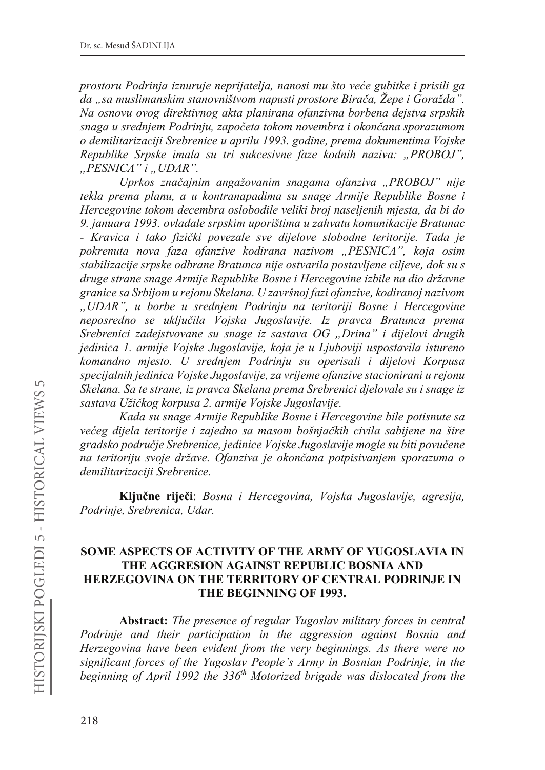*prostoru Podrinja iznuruje neprijatelja, nanosi mu što veće gubitke i prisili ga da* "sa muslimanskim stanovništvom napusti prostore Birača, Žepe i Goražda". *Na osnovu ovog direktivnog akta planirana ofanzivna borbena dejstva srpskih snaga u srednjem Podrinju, započeta tokom novembra i okončana sporazumom o demilitarizaciji Srebrenice u aprilu 1993. godine, prema dokumentima Vojske Republike Srpske imala su tri sukcesivne faze kodnih naziva: "PROBOJ", "PESNICA" i "UDAR".*

*8SUNRV ]QDþDMQLP DQJDåRYDQLP VQDJDPD RIDQ]LYD Ä352%2-" nije tekla prema planu, a u kontranapadima su snage Armije Republike Bosne i Hercegovine tokom decembra oslobodile veliki broj naseljenih mjesta, da bi do 9. januara 1993. ovladale srpskim uporištima u zahvatu komunikacije Bratunac*  - *Kravica i tako fizički povezale sve dijelove slobodne teritorije. Tada je pokrenuta nova faza ofanzive kodirana nazivom "PESNICA", koja osim stabilizacije srpske odbrane Bratunca nije ostvarila postavljene ciljeve, dok su s druge strane snage Armije Republike Bosne i Hercegovine izbile na dio državne granice sa Srbijom u rejonu Skelana. U završnoj fazi ofanzive, kodiranoj nazivom "UDAR", u borbe u srednjem Podrinju na teritoriji Bosne i Hercegovine Reposredno se uključila Vojska Jugoslavije. Iz pravca Bratunca prema Srebrenici zadejstvovane su snage iz sastava OG "Drina" i dijelovi drugih jedinica 1. armije Vojske Jugoslavije, koja je u Ljuboviji uspostavila istureno komandno mjesto. U srednjem Podrinju su operisali i dijelovi Korpusa specijalnih jedinica Vojske Jugoslavije, za vrijeme ofanzive stacionirani u rejonu Skelana. Sa te strane, iz pravca Skelana prema Srebrenici djelovale su i snage iz*  sastava Užičkog korpusa 2. armije Vojske Jugoslavije.

*Kada su snage Armije Republike Bosne i Hercegovine bile potisnute sa Većeg dijela teritorije i zajedno sa masom bošnjačkih civila sabijene na šire* gradsko područje Srebrenice, jedinice Vojske Jugoslavije mogle su biti povučene na teritoriju svoje države. Ofanziva je okončana potpisivanjem sporazuma o *demilitarizaciji Srebrenice.*

Ključne riječi: *Bosna i Hercegovina, Vojska Jugoslavije, agresija, Podrinje, Srebrenica, Udar.*

## **SOME ASPECTS OF ACTIVITY OF THE ARMY OF YUGOSLAVIA IN THE AGGRESION AGAINST REPUBLIC BOSNIA AND HERZEGOVINA ON THE TERRITORY OF CENTRAL PODRINJE IN THE BEGINNING OF 1993.**

**Abstract:** *The presence of regular Yugoslav military forces in central Podrinje and their participation in the aggression against Bosnia and Herzegovina have been evident from the very beginnings. As there were no significant forces of the Yugoslav People's Army in Bosnian Podrinje, in the beginning of April 1992 the 336th Motorized brigade was dislocated from the*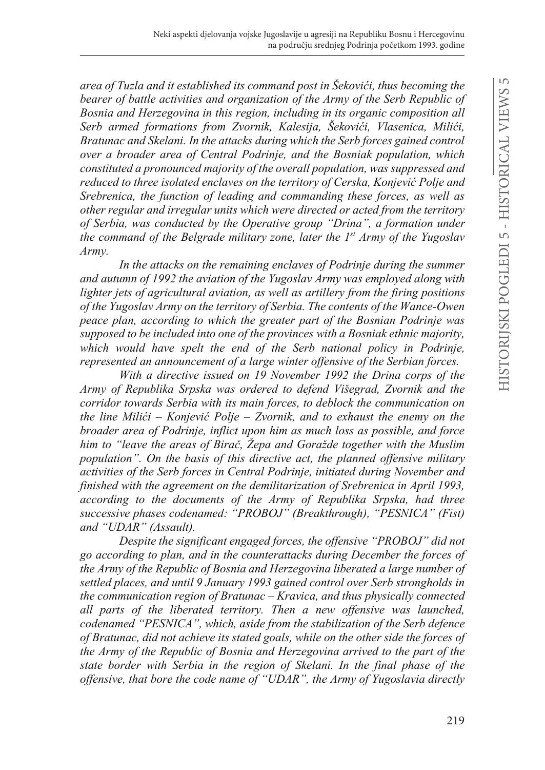area of Tuzla and it established its command post in Šekovići, thus becoming the *bearer of battle activities and organization of the Army of the Serb Republic of Bosnia and Herzegovina in this region, including in its organic composition all*  Serb armed formations from Zvornik, Kalesija, Šekovići, Vlasenica, Milići, *Bratunac and Skelani. In the attacks during which the Serb forces gained control over a broader area of Central Podrinje, and the Bosniak population, which constituted a pronounced majority of the overall population, was suppressed and reduced to three isolated enclaves on the territory of Cerska, Konjević Polje and Srebrenica, the function of leading and commanding these forces, as well as other regular and irregular units which were directed or acted from the territory of Serbia, was conducted by the Operative group "Drina", a formation under the command of the Belgrade military zone, later the 1st Army of the Yugoslav Army.* 

In the attacks on the remaining enclaves of Podrinje during the summer *and autumn of 1992 the aviation of the Yugoslav Army was employed along with lighter jets of agricultural aviation, as well as artillery from the firing positions of the Yugoslav Army on the territory of Serbia. The contents of the Wance-Owen peace plan, according to which the greater part of the Bosnian Podrinje was supposed to be included into one of the provinces with a Bosniak ethnic majority, which would have spelt the end of the Serb national policy in Podrinje, represented an announcement of a large winter offensive of the Serbian forces.*

*With a directive issued on 19 November 1992 the Drina corps of the Army of Republika Srpska was ordered to defend Višegrad, Zvornik and the corridor towards Serbia with its main forces, to deblock the communication on the line Milići – Konjević Polje – Zvornik, and to exhaust the enemy on the broader area of Podrinje, inflict upon him as much loss as possible, and force him to "leave the areas of Birač, Žepa and Goražde together with the Muslim population". On the basis of this directive act, the planned offensive military activities of the Serb forces in Central Podrinje, initiated during November and finished with the agreement on the demilitarization of Srebrenica in April 1993, according to the documents of the Army of Republika Srpska, had three successive phases codenamed: "PROBOJ" (Breakthrough), "PESNICA" (Fist) and "UDAR" (Assault).*

*Despite the significant engaged forces, the offensive "PROBOJ" did not go according to plan, and in the counterattacks during December the forces of the Army of the Republic of Bosnia and Herzegovina liberated a large number of settled places, and until 9 January 1993 gained control over Serb strongholds in the communication region of Bratunac – Kravica, and thus physically connected all parts of the liberated territory. Then a new offensive was launched, codenamed "PESNICA", which, aside from the stabilization of the Serb defence of Bratunac, did not achieve its stated goals, while on the other side the forces of the Army of the Republic of Bosnia and Herzegovina arrived to the part of the state border with Serbia in the region of Skelani. In the final phase of the offensive, that bore the code name of "UDAR", the Army of Yugoslavia directly*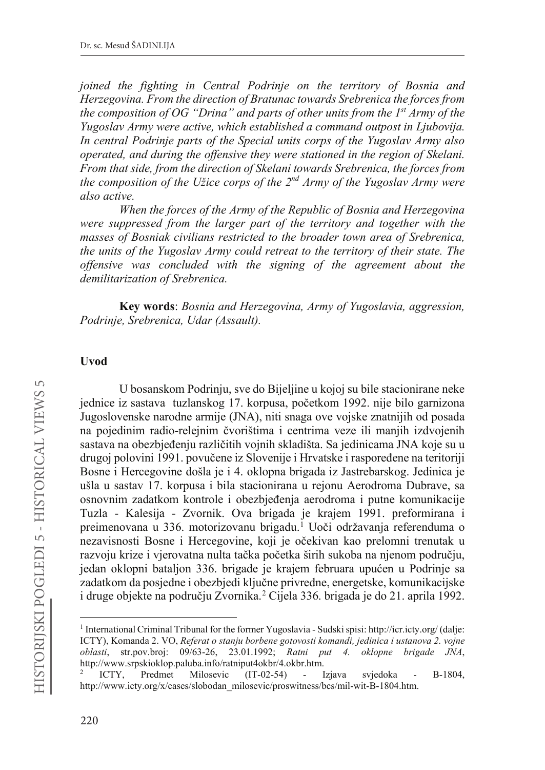*joined the fighting in Central Podrinje on the territory of Bosnia and Herzegovina. From the direction of Bratunac towards Srebrenica the forces from the composition of OG "Drina" and parts of other units from the 1st Army of the Yugoslav Army were active, which established a command outpost in Ljubovija. In central Podrinje parts of the Special units corps of the Yugoslav Army also operated, and during the offensive they were stationed in the region of Skelani. From that side, from the direction of Skelani towards Srebrenica, the forces from the composition of the Užice corps of the 2nd Army of the Yugoslav Army were also active.*

*When the forces of the Army of the Republic of Bosnia and Herzegovina were suppressed from the larger part of the territory and together with the masses of Bosniak civilians restricted to the broader town area of Srebrenica, the units of the Yugoslav Army could retreat to the territory of their state. The offensive was concluded with the signing of the agreement about the demilitarization of Srebrenica.*

**Key words**: *Bosnia and Herzegovina, Army of Yugoslavia, aggression, Podrinje, Srebrenica, Udar (Assault).*

#### **Uvod**

U bosanskom Podrinju, sve do Bijeljine u kojoj su bile stacionirane neke jednice iz sastava tuzlanskog 17. korpusa, početkom 1992. nije bilo garnizona Jugoslovenske narodne armije (JNA), niti snaga ove vojske znatnijih od posada na pojedinim radio-relejnim čvorištima i centrima veze ili manjih izdvojenih sastava na obezbjeđenju različitih vojnih skladišta. Sa jedinicama JNA koje su u drugoj polovini 1991. povučene iz Slovenije i Hrvatske i raspoređene na teritoriji Bosne i Hercegovine došla je i 4. oklopna brigada iz Jastrebarskog. Jedinica je ušla u sastav 17. korpusa i bila stacionirana u rejonu Aerodroma Dubrave, sa osnovnim zadatkom kontrole i obezbjeđenja aerodroma i putne komunikacije Tuzla - Kalesija - Zvornik. Ova brigada je krajem 1991. preformirana i preimenovana u 336. motorizovanu brigadu.<sup>1</sup> Uoči održavanja referenduma o nezavisnosti Bosne i Hercegovine, koji je očekivan kao prelomni trenutak u razvoju krize i vjerovatna nulta tačka početka širih sukoba na njenom području, jedan oklopni bataljon 336. brigade je krajem februara upućen u Podrinje sa zadatkom da posjedne i obezbjedi ključne privredne, energetske, komunikacijske i druge objekte na području Zvornika.<sup>2</sup> Cijela 336. brigada je do 21. aprila 1992.

<sup>1</sup> International Criminal Tribunal for the former Yugoslavia - Sudski spisi: http://icr.icty.org/ (dalje: ICTY), Komanda 2. VO, *Referat o stanju borbene gotovosti komandi, jedinica i ustanova 2. vojne oblasti*, str.pov.broj: 09/63-26, 23.01.1992; *Ratni put 4. oklopne brigade JNA*, http://www.srpskioklop.paluba.info/ratniput4okbr/4.okbr.htm.

<sup>2</sup> ICTY, Predmet Milosevic (IT-02-54) - Izjava svjedoka - B-1804, http://www.icty.org/x/cases/slobodan\_milosevic/proswitness/bcs/mil-wit-B-1804.htm.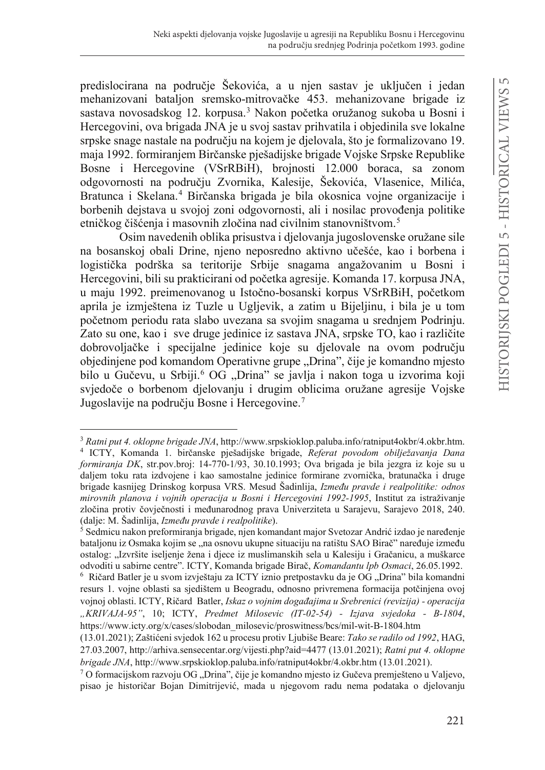predislocirana na područie Šekovića, a u njen sastav je uključen i jedan mehanizovani bataljon sremsko-mitrovačke 453. mehanizovane brigade iz sastava novosadskog 12. korpusa.<sup>3</sup> Nakon početka oružanog sukoba u Bosni i Hercegovini, ova brigada JNA je u svoj sastav prihvatila i objedinila sve lokalne srpske snage nastale na područiu na kojem je djelovala, što je formalizovano 19. maja 1992. formiranjem Birčanske pješadijske brigade Vojske Srpske Republike Bosne i Hercegovine (VSrRBiH), brojnosti 12.000 boraca, sa zonom odgovornosti na području Zvornika, Kalesije, Šekovića, Vlasenice, Milića, Bratunca i Skelana.<sup>4</sup> Birčanska brigada je bila okosnica vojne organizacije i borbenih dejstava u svojoj zoni odgovornosti, ali i nosilac provođenja politike etničkog čišćenja i masovnih zločina nad civilnim stanovništvom.<sup>5</sup>

Osim navedenih oblika prisustva i djelovanja jugoslovenske oružane sile na bosanskoj obali Drine, njeno neposredno aktivno učešće, kao i borbena i logistička podrška sa teritorije Srbije snagama angažovanim u Bosni i Hercegovini, bili su prakticirani od početka agresije. Komanda 17. korpusa JNA, u maju 1992. preimenovanog u Istočno-bosanski korpus VSrRBiH, početkom aprila je izmještena iz Tuzle u Ugljevik, a zatim u Bijeljinu, i bila je u tom početnom periodu rata slabo uvezana sa svojim snagama u srednjem Podrinju. Zato su one, kao i sve druge jedinice iz sastava JNA, srpske TO, kao i različite dobrovoljačke i specijalne jedinice koje su djelovale na ovom području objedinjene pod komandom Operativne grupe "Drina", čije je komandno mjesto bilo u Gučevu, u Srbiji.<sup>6</sup> OG "Drina" se javlja i nakon toga u izvorima koji svjedoče o borbenom djelovanju i drugim oblicima oružane agresije Vojske Jugoslavije na području Bosne i Hercegovine.<sup>7</sup>

<sup>3</sup> *Ratni put 4. oklopne brigade JNA*, http://www.srpskioklop.paluba.info/ratniput4okbr/4.okbr.htm. <sup>4</sup> ICTY, Komanda 1. birčanske pješadijske brigade, Referat povodom obilježavanja Dana *formiranja DK*, str.pov.broj: 14-770-1/93, 30.10.1993; Ova brigada je bila jezgra iz koje su u daljem toku rata izdvojene i kao samostalne jedinice formirane zvornička, bratunačka i druge brigade kasnijeg Drinskog korpusa VRS. Mesud Šadinlija, *Između pravde i realpolitike: odnos mirovnih planova i vojnih operacija u Bosni i Hercegovini 1992-1995*, Institut za istraživanje zločina protiv čovječnosti i međunarodnog prava Univerziteta u Sarajevu, Sarajevo 2018, 240. (dalje: M. Šadinlija, *Između pravde i realpolitike*).

 $5$  Sedmicu nakon preformiranja brigade, njen komandant major Svetozar Andrić izdao je naređenje bataljonu iz Osmaka kojim se "na osnovu ukupne situaciju na ratištu SAO Birač" naređuje između ostalog: "Izvršite iseljenje žena i djece iz muslimanskih sela u Kalesiju i Gračanicu, a muškarce odvoditi u sabirne centre". ICTY, Komanda brigade Birač, *Komandantu lpb Osmaci*, 26.05.1992.

<sup>&</sup>lt;sup>6</sup> Ričard Batler je u svom izvještaju za ICTY iznio pretpostavku da je OG "Drina" bila komandni resurs 1. vojne oblasti sa sjedištem u Beogradu, odnosno privremena formacija potčinjena ovoj vojnoj oblasti. ICTY, Ričard Batler, *Iskaz o vojnim događajima u Srebrenici (revizija) - operacija "KRIVAJA-95"*, 10; ICTY, *Predmet Milosevic (IT-02-54) - Izjava svjedoka - B-1804*, https://www.icty.org/x/cases/slobodan\_milosevic/proswitness/bcs/mil-wit-B-1804.htm

<sup>(13.01.2021);</sup> Zaštićeni svjedok 162 u procesu protiv Ljubiše Beare: Tako se radilo od 1992, HAG, 27.03.2007, http://arhiva.sensecentar.org/vijesti.php?aid=4477 (13.01.2021); *Ratni put 4. oklopne brigade JNA*, http://www.srpskioklop.paluba.info/ratniput4okbr/4.okbr.htm (13.01.2021).

 $7$  O formacijskom razvoju OG "Drina", čije je komandno mjesto iz Gučeva premješteno u Valjevo, pisao je historičar Bojan Dimitrijević, mada u njegovom radu nema podataka o djelovanju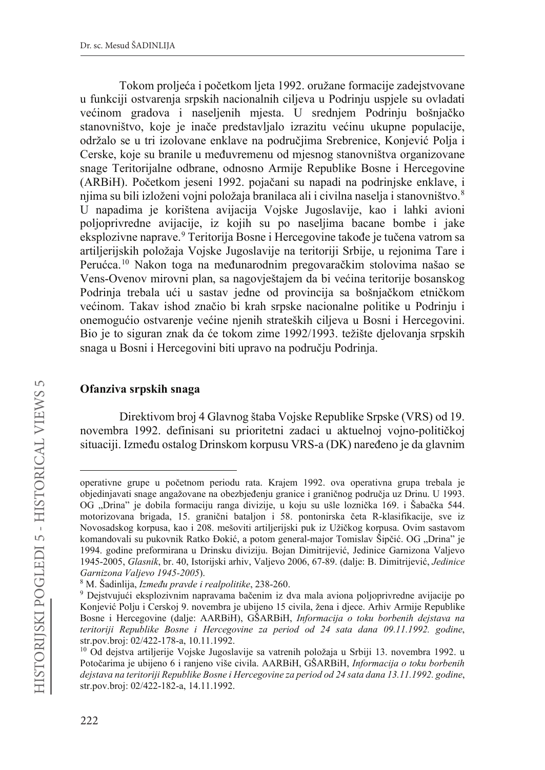Tokom proljeća i početkom lieta 1992. oružane formacije zadejstvovane u funkciji ostvarenja srpskih nacionalnih ciljeva u Podrinju uspjele su ovladati većinom gradova i naseljenih mjesta. U srednjem Podrinju bošnjačko stanovništvo, koje je inače predstavljalo izrazitu većinu ukupne populacije, održalo se u tri izolovane enklave na područiima Srebrenice. Koniević Polia i Cerske, koje su branile u međuvremenu od mjesnog stanovništva organizovane snage Teritorijalne odbrane, odnosno Armije Republike Bosne i Hercegovine (ARBiH). Početkom jeseni 1992. pojačani su napadi na podrinjske enklave, i njima su bili izloženi vojni položaja branilaca ali i civilna naselja i stanovništvo.8 U napadima je korištena avijacija Vojske Jugoslavije, kao i lahki avioni poljoprivredne avijacije, iz kojih su po naseljima bacane bombe i jake eksplozivne naprave.<sup>9</sup> Teritorija Bosne i Hercegovine takođe je tučena vatrom sa artiljerijskih položaja Vojske Jugoslavije na teritoriji Srbije, u rejonima Tare i Perućca.<sup>10</sup> Nakon toga na međunarodnim pregovaračkim stolovima našao se Vens-Ovenov mirovni plan, sa nagovještajem da bi većina teritorije bosanskog Podrinja trebala ući u sastav jedne od provincija sa bošnjačkom etničkom većinom. Takav ishod značio bi krah srpske nacionalne politike u Podrinju i onemogućio ostvarenje većine njenih strateških ciljeva u Bosni i Hercegovini. Bio je to siguran znak da će tokom zime 1992/1993. težište djelovanja srpskih snaga u Bosni i Hercegovini biti upravo na području Podrinja.

## **Ofanziva srpskih snaga**

Direktivom broj 4 Glavnog štaba Vojske Republike Srpske (VRS) od 19. novembra 1992. definisani su prioritetni zadaci u aktuelnoj vojno-političkoj situaciji. Između ostalog Drinskom korpusu VRS-a (DK) naređeno je da glavnim

222

operativne grupe u početnom periodu rata. Krajem 1992. ova operativna grupa trebala je objedinjavati snage angažovane na obezbjeđenju granice i graničnog područja uz Drinu. U 1993. OG "Drina" je dobila formaciju ranga divizije, u koju su ušle loznička 169. i Šabačka 544. motorizovana brigada, 15. granični bataljon i 58. pontonirska četa R-klasifikacije, sve iz Novosadskog korpusa, kao i 208. mešoviti artiljerijski puk iz Užičkog korpusa. Ovim sastavom komandovali su pukovnik Ratko Đokić, a potom general-major Tomislav Šipčić. OG "Drina" je 1994. godine preformirana u Drinsku diviziju. Bojan Dimitrijević, Jedinice Garnizona Valjevo 1945-2005, *Glasnik*, br. 40, Istorijski arhiv, Valjevo 2006, 67-89. (dalje: B. Dimitrijević, *Jedinice Garnizona Valjevo 1945-2005*).

<sup>&</sup>lt;sup>8</sup> M. Šadinlija, *Između pravde i realpolitike*, 238-260.

<sup>&</sup>lt;sup>9</sup> Dejstvujući eksplozivnim napravama bačenim iz dva mala aviona poljoprivredne avijacije po Konjević Polju i Čerskoj 9. novembra je ubijeno 15 civila, žena i djece. Arhiv Armije Republike Bosne i Hercegovine (dalje: AARBiH), GŠARBiH, *Informacija o toku borbenih dejstava na teritoriji Republike Bosne i Hercegovine za period od 24 sata dana 09.11.1992. godine*, str.pov.broj: 02/422-178-a, 10.11.1992.

<sup>&</sup>lt;sup>10</sup> Od dejstva artiljerije Vojske Jugoslavije sa vatrenih položaja u Srbiji 13. novembra 1992. u Potočarima je ubijeno 6 i ranjeno više civila. AARBiH, GŠARBiH, *Informacija o toku borbenih dejstava na teritoriji Republike Bosne i Hercegovine za period od 24 sata dana 13.11.1992. godine*, str.pov.broj: 02/422-182-a, 14.11.1992.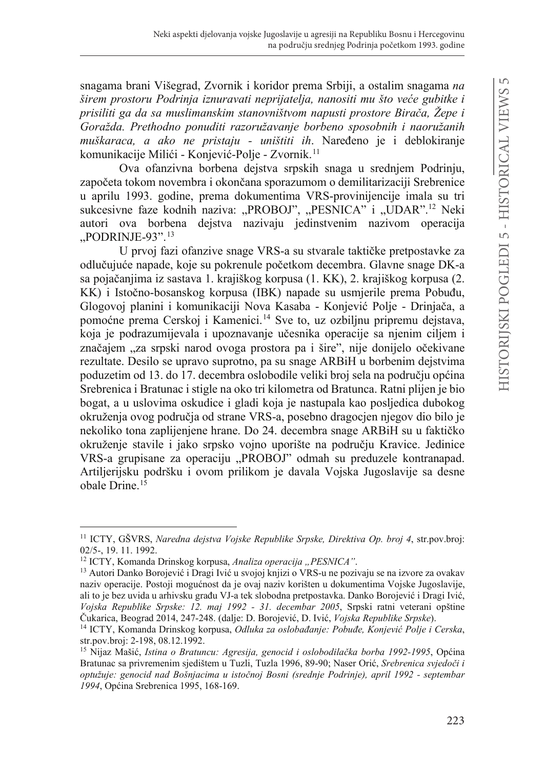snagama brani Višegrad, Zvornik i koridor prema Srbiji, a ostalim snagama *na širem prostoru Podrinja iznuravati neprijatelja, nanositi mu što veće gubitke i prisiliti ga da sa muslimanskim stanovništvom napusti prostore Birača, Žepe i Goražda. Prethodno ponuditi razoružavanje borbeno sposobnih i naoružanih muškaraca, a ako ne pristaju - uništiti ih*. Naređeno je i deblokiranje komunikacije Milići - Konjević-Polje - Zvornik.<sup>11</sup>

Ova ofanzivna borbena dejstva srpskih snaga u srednjem Podrinju, započeta tokom novembra i okončana sporazumom o demilitarizaciji Srebrenice u aprilu 1993. godine, prema dokumentima VRS-provinijencije imala su tri sukcesivne faze kodnih naziva: "PROBOJ", "PESNICA" i "UDAR".<sup>12</sup> Neki autori ova borbena dejstva nazivaju jedinstvenim nazivom operacija  $...$ PODRINJE-93". $13$ 

U prvoj fazi ofanzive snage VRS-a su stvarale taktičke pretpostavke za odlučujuće napade, koje su pokrenule početkom decembra. Glavne snage DK-a sa pojačanjima iz sastava 1. krajiškog korpusa (1. KK), 2. krajiškog korpusa (2. KK) i Istočno-bosanskog korpusa (IBK) napade su usmjerile prema Pobuđu, Glogovoj planini i komunikaciji Nova Kasaba - Konjević Polje - Drinjača, a pomoćne prema Cerskoj i Kamenici.<sup>14</sup> Sve to, uz ozbiljnu pripremu dejstava, koja je podrazumijevala i upoznavanje učesnika operacije sa njenim ciljem i značajem "za srpski narod ovoga prostora pa i šire", nije donijelo očekivane rezultate. Desilo se upravo suprotno, pa su snage ARBiH u borbenim dejstvima poduzetim od 13. do 17. decembra oslobodile veliki broj sela na području općina Srebrenica i Bratunac i stigle na oko tri kilometra od Bratunca. Ratni plijen je bio bogat, a u uslovima oskudice i gladi koja je nastupala kao posljedica dubokog okruženja ovog područja od strane VRS-a, posebno dragocjen njegov dio bilo je nekoliko tona zaplijenjene hrane. Do 24. decembra snage ARBiH su u faktičko okruženje stavile i jako srpsko vojno uporište na području Kravice. Jedinice VRS-a grupisane za operaciju "PROBOJ" odmah su preduzele kontranapad. Artiljerijsku podršku i ovom prilikom je davala Vojska Jugoslavije sa desne obale Drine.<sup>15</sup>

<sup>11</sup> ICTY, GŠVRS, *Naredna dejstva Vojske Republike Srpske, Direktiva Op. broj 4*, str.pov.broj: 02/5-, 19. 11. 1992.

<sup>&</sup>lt;sup>12</sup> ICTY, Komanda Drinskog korpusa, *Analiza operacija* "PESNICA".

<sup>&</sup>lt;sup>13</sup> Autori Danko Borojević i Dragi Ivić u svojoj knjizi o VRS-u ne pozivaju se na izvore za ovakav naziv operacije. Postoji mogućnost da je ovaj naziv korišten u dokumentima Vojske Jugoslavije, ali to je bez uvida u arhivsku građu VJ-a tek slobodna pretpostavka. Danko Borojević i Dragi Ivić, *Vojska Republike Srpske: 12. maj 1992 - 31. decembar 2005*, Srpski ratni veterani opštine Čukarica, Beograd 2014, 247-248. (dalje: D. Borojević, D. Ivić, Vojska Republike Srpske).

<sup>&</sup>lt;sup>14</sup> ICTY, Komanda Drinskog korpusa, Odluka za oslobađanje: Pobuđe, Konjević Polje i Cerska, str.pov.broj: 2-198, 08.12.1992.

<sup>&</sup>lt;sup>15</sup> Nijaz Mašić, *Istina o Bratuncu: Agresija, genocid i oslobodilačka borba 1992-1995*, Općina Bratunac sa privremenim sjedištem u Tuzli, Tuzla 1996, 89-90; Naser Orić, Srebrenica svjedoči i *RSWXåXMH JHQRFLGQDG%RãQMDFLPD XLVWRþQRM%RVQL VUHGQMH3RGULQMH DSULO 2 - septembar*  1994, Općina Srebrenica 1995, 168-169.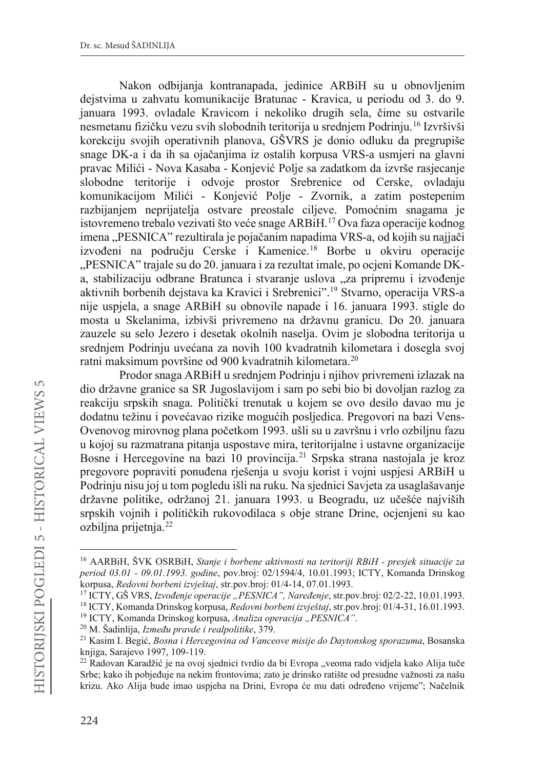Nakon odbijanja kontranapada, jedinice ARBiH su u obnovljenim dejstvima u zahvatu komunikacije Bratunac - Kravica, u periodu od 3. do 9. januara 1993. ovladale Kravicom i nekoliko drugih sela, čime su ostvarile nesmetanu fizičku vezu svih slobodnih teritorija u srednjem Podrinju.<sup>16</sup> Izvršivši korekciju svojih operativnih planova, GŠVRS je donio odluku da pregrupiše snage DK-a i da ih sa ojačanjima iz ostalih korpusa VRS-a usmjeri na glavni pravac Milići - Nova Kasaba - Konjević Polje sa zadatkom da izvrše rasjecanje slobodne teritorije i odvoje prostor Srebrenice od Cerske, ovladaju komunikacijom Milići - Konjević Polje - Zvornik, a zatim postepenim razbijanjem neprijatelja ostvare preostale ciljeve. Pomoćnim snagama je istovremeno trebalo vezivati što veće snage ARBiH.<sup>17</sup> Ova faza operacije kodnog imena "PESNICA" rezultirala je pojačanim napadima VRS-a, od kojih su najjači izvođeni na području Cerske i Kamenice.<sup>18</sup> Borbe u okviru operacije "PESNICA" trajale su do 20. januara i za rezultat imale, po ocjeni Komande DKa, stabilizaciju odbrane Bratunca i stvaranje uslova "za pripremu i izvođenje aktivnih borbenih dejstava ka Kravici i Srebrenici".19 Stvarno, operacija VRS-a nije uspjela, a snage ARBiH su obnovile napade i 16. januara 1993. stigle do mosta u Skelanima, izbivši privremeno na državnu granicu. Do 20. januara zauzele su selo Jezero i desetak okolnih naselja. Ovim je slobodna teritorija u srednjem Podrinju uvećana za novih 100 kvadratnih kilometara i dosegla svoj ratni maksimum površine od 900 kvadratnih kilometara.20

Prodor snaga ARBiH u srednjem Podrinju i njihov privremeni izlazak na dio državne granice sa SR Jugoslavijom i sam po sebi bio bi dovoljan razlog za reakciju srpskih snaga. Politički trenutak u kojem se ovo desilo davao mu je dodatnu težinu i povećavao rizike mogućih posljedica. Pregovori na bazi Vens-Ovenovog mirovnog plana početkom 1993. ušli su u završnu i vrlo ozbiljnu fazu u kojoj su razmatrana pitanja uspostave mira, teritorijalne i ustavne organizacije Bosne i Hercegovine na bazi 10 provincija.21 Srpska strana nastojala je kroz pregovore popraviti ponuđena rješenja u svoju korist i vojni uspjesi ARBiH u Podrinju nisu joj u tom pogledu išli na ruku. Na sjednici Savjeta za usaglašavanje državne politike, održanoj 21. januara 1993. u Beogradu, uz učešće najviših srpskih vojnih i političkih rukovodilaca s obje strane Drine, ocjenjeni su kao ozbiljna prijetnja.22

<sup>16</sup> AARBiH, ŠVK OSRBiH, *Stanje i borbene aktivnosti na teritoriji RBiH - presjek situacije za period 03.01 - 09.01.1993. godine*, pov.broj: 02/1594/4, 10.01.1993; ICTY, Komanda Drinskog korpusa, *Redovni borbeni izvještaj*, str.pov.broj: 01/4-14, 07.01.1993.

<sup>&</sup>lt;sup>17</sup> ICTY, GŠ VRS, *Izvođenje operacije "PESNICA", Naređenje*, str.pov.broj: 02/2-22, 10.01.1993. <sup>18</sup> ICTY, Komanda Drinskog korpusa, *Redovni borbeni izvještaj*, str.pov.broj: 01/4-31, 16.01.1993.

<sup>&</sup>lt;sup>19</sup> ICTY, Komanda Drinskog korpusa, *Analiza operacija* "*PESNICA"*.

<sup>&</sup>lt;sup>20</sup> M. Šadinlija, *Između pravde i realpolitike*, 379.

<sup>&</sup>lt;sup>21</sup> Kasim I. Begić, *Bosna i Hercegovina od Vanceove misije do Daytonskog sporazuma*, Bosanska knjiga, Sarajevo 1997, 109-119.

<sup>&</sup>lt;sup>22</sup> Radovan Karadžić je na ovoj sjednici tvrdio da bi Evropa "veoma rado vidjela kako Alija tuče Srbe; kako ih pobjeđuje na nekim frontovima; zato je drinsko ratište od presudne važnosti za našu krizu. Ako Alija bude imao uspjeha na Drini, Evropa će mu dati određeno vrijeme"; Načelnik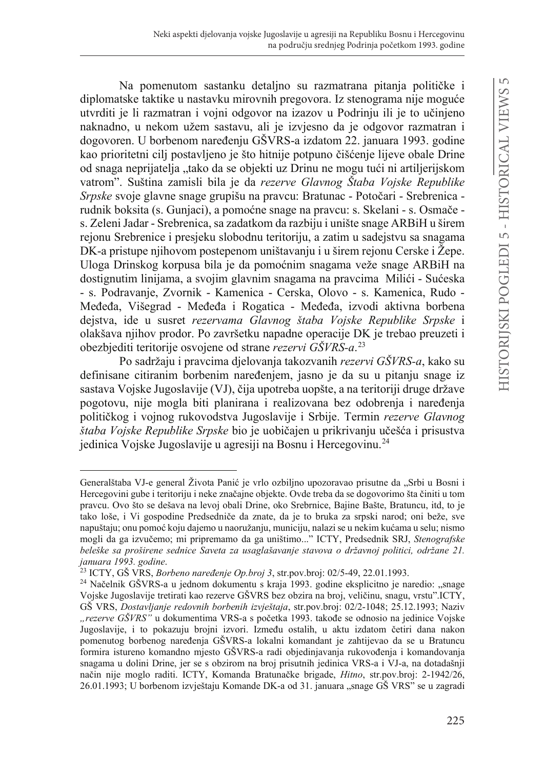Na pomenutom sastanku detalino su razmatrana pitania političke i diplomatske taktike u nastavku mirovnih pregovora. Iz stenograma nije moguće utvrditi je li razmatran i vojni odgovor na izazov u Podrinju ili je to učinjeno naknadno, u nekom užem sastavu, ali je izvjesno da je odgovor razmatran i dogovoren. U borbenom naređeniu GŠVRS-a izdatom 22. januara 1993. godine kao prioritetni cilj postavljeno je što hitnije potpuno čišćenje lijeve obale Drine od snaga neprijatelja "tako da se objekti uz Drinu ne mogu tući ni artiljerijskom vatrom". Suština zamisli bila je da *rezerve Glavnog Štaba Vojske Republike Srpske* svoje glavne snage grupišu na pravcu: Bratunac - Potočari - Srebrenica rudnik boksita (s. Gunjaci), a pomoćne snage na pravcu: s. Skelani - s. Osmače s. Zeleni Jadar - Srebrenica, sa zadatkom da razbiju i unište snage ARBiH u širem rejonu Srebrenice i presjeku slobodnu teritoriju, a zatim u sadejstvu sa snagama DK-a pristupe njihovom postepenom uništavanju i u širem rejonu Cerske i Žepe. Uloga Drinskog korpusa bila je da pomoćnim snagama veže snage ARBiH na dostignutim linijama, a svojim glavnim snagama na pravcima Milići - Sućeska - s. Podravanje, Zvornik - Kamenica - Cerska, Olovo - s. Kamenica, Rudo - Međeđa, Višegrad - Međeđa i Rogatica - Međeđa, izvodi aktivna borbena dejstva, ide u susret *rezervama Glavnog štaba Vojske Republike Srpske* i olakšava njihov prodor. Po završetku napadne operacije DK je trebao preuzeti i obezbjediti teritorije osvojene od strane *rezervi GŠVRS-a*. 23

Po sadržaju i pravcima djelovanja takozvanih *rezervi GŠVRS-a*, kako su definisane citiranim borbenim naređenjem, jasno je da su u pitanju snage iz sastava Vojske Jugoslavije (VJ), čija upotreba uopšte, a na teritoriji druge države pogotovu, nije mogla biti planirana i realizovana bez odobrenja i naređenja političkog i vojnog rukovodstva Jugoslavije i Srbije. Termin *rezerve Glavnog štaba Vojske Republike Srpske* bio je uobičajen u prikrivanju učešća i prisustva jedinica Vojske Jugoslavije u agresiji na Bosnu i Hercegovinu.<sup>24</sup>

Generalštaba VJ-e general Života Panić je vrlo ozbiljno upozoravao prisutne da "Srbi u Bosni i Hercegovini gube i teritoriju i neke značajne objekte. Ovde treba da se dogovorimo šta činiti u tom pravcu. Ovo što se dešava na levoj obali Drine, oko Srebrnice, Bajine Bašte, Bratuncu, itd, to je tako loše, i Vi gospodine Predsedniče da znate, da je to bruka za srpski narod; oni beže, sve napuštaju; onu pomoć koju dajemo u naoružanju, municiju, nalazi se u nekim kućama u selu; nismo mogli da ga izvučemo; mi pripremamo da ga uništimo..." ICTY, Predsednik SRJ, *Stenografske beleške sa proširene sednice Saveta za usaglašavanje stavova o državnoj politici, održane 21. januara 1993. godine*.

<sup>&</sup>lt;sup>23</sup> ICTY, GŠ VRS, *Borbeno naređenje Op.broj 3*, str.pov.broj: 02/5-49, 22.01.1993.

<sup>&</sup>lt;sup>24</sup> Načelnik GŠVRS-a u jednom dokumentu s kraja 1993. godine eksplicitno je naredio: "snage Vojske Jugoslavije tretirati kao rezerve GŠVRS bez obzira na broj, veličinu, snagu, vrstu".ICTY, GŠ VRS, *Dostavljanje redovnih borbenih izvještaja*, str.pov.broj: 02/2-1048; 25.12.1993; Naziv "rezerve GŠVRS" u dokumentima VRS-a s početka 1993. takođe se odnosio na jedinice Vojske Jugoslavije, i to pokazuju brojni izvori. Između ostalih, u aktu izdatom četiri dana nakon pomenutog borbenog naređenja GŠVRS-a lokalni komandant je zahtijevao da se u Bratuncu formira istureno komandno mjesto GŠVRS-a radi objedinjavanja rukovođenja i komandovanja snagama u dolini Drine, jer se s obzirom na broj prisutnih jedinica VRS-a i VJ-a, na dotadašnji način nije moglo raditi. ICTY, Komanda Bratunačke brigade, *Hitno*, str.pov.broj: 2-1942/26, 26.01.1993; U borbenom izvještaju Komande DK-a od 31. januara "snage GŠ VRS" se u zagradi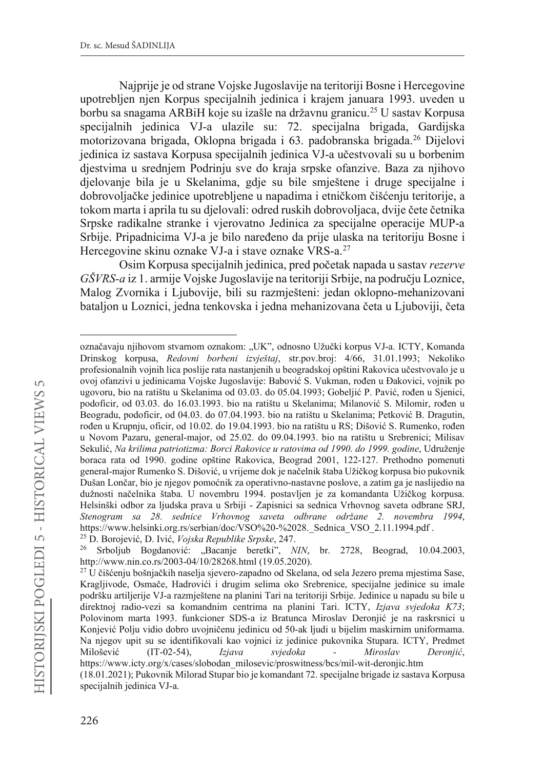Najprije je od strane Vojske Jugoslavije na teritoriji Bosne i Hercegovine upotrebljen njen Korpus specijalnih jedinica i krajem januara 1993. uveden u borbu sa snagama ARBiH koje su izašle na državnu granicu.25 U sastav Korpusa specijalnih jedinica VJ-a ulazile su: 72. specijalna brigada, Gardijska motorizovana brigada, Oklopna brigada i 63. padobranska brigada.26 Dijelovi jedinica iz sastava Korpusa specijalnih jedinica VJ-a učestvovali su u borbenim djestvima u srednjem Podrinju sve do kraja srpske ofanzive. Baza za njihovo djelovanje bila je u Skelanima, gdje su bile smještene i druge specijalne i dobrovoljačke jedinice upotrebljene u napadima i etničkom čišćenju teritorije, a tokom marta i aprila tu su djelovali: odred ruskih dobrovoljaca, dvije čete četnika Srpske radikalne stranke i vjerovatno Jedinica za specijalne operacije MUP-a Srbije. Pripadnicima VJ-a je bilo naređeno da prije ulaska na teritoriju Bosne i Hercegovine skinu oznake VJ-a i stave oznake VRS-a.27

Osim Korpusa specijalnih jedinica, pred početak napada u sastav *rezerve GŠVRS-a* iz 1. armije Vojske Jugoslavije na teritoriji Srbije, na području Loznice, Malog Zvornika i Ljubovije, bili su razmješteni: jedan oklopno-mehanizovani bataljon u Loznici, jedna tenkovska i jedna mehanizovana četa u Ljuboviji, četa

označavaju njihovom stvarnom oznakom: "UK", odnosno Užučki korpus VJ-a. ICTY, Komanda Drinskog korpusa, *Redovni borbeni izvještaj*, str.pov.broj: 4/66, 31.01.1993; Nekoliko profesionalnih vojnih lica poslije rata nastanjenih u beogradskoj opštini Rakovica učestvovalo je u ovoj ofanzivi u jedinicama Vojske Jugoslavije: Babović S. Vukman, rođen u Đakovici, vojnik po ugovoru, bio na ratištu u Skelanima od 03.03. do 05.04.1993; Gobeljić P. Pavić, rođen u Sjenici, podoficir, od 03.03. do 16.03.1993. bio na ratištu u Skelanima; Milanović S. Milomir, rođen u Beogradu, podoficir, od 04.03. do 07.04.1993. bio na ratištu u Skelanima; Petković B. Dragutin, rođen u Krupnju, oficir, od 10.02. do 19.04.1993. bio na ratištu u RS; Dišović S. Rumenko, rođen u Novom Pazaru, general-major, od 25.02. do 09.04.1993. bio na ratištu u Srebrenici; Milisav 6HNXOLü*Na krilima patriotizma: Borci Rakovice u ratovima od 1990. do 1999. godine*, Udruženje boraca rata od 1990. godine opštine Rakovica, Beograd 2001, 122-127. Prethodno pomenuti general-major Rumenko S. Dišović, u vrijeme dok je načelnik štaba Užičkog korpusa bio pukovnik Dušan Lončar, bio je njegov pomoćnik za operativno-nastavne poslove, a zatim ga je naslijedio na dužnosti načelnika štaba. U novembru 1994. postavljen je za komandanta Užičkog korpusa. Helsinški odbor za ljudska prava u Srbiji - Zapisnici sa sednica Vrhovnog saveta odbrane SRJ, *Stenogram sa 28. sednice Vrhovnog saveta odbrane održane 2. novembra 1994*, https://www.helsinki.org.rs/serbian/doc/VSO%20-%2028. Sednica VSO 2.11.1994.pdf . <sup>25</sup> D. Borojević, D. Ivić, *Vojska Republike Srpske*, 247.

<sup>&</sup>lt;sup>26</sup> Srboljub Bogdanović: "Bacanje beretki", *NIN*, br. 2728, Beograd, 10.04.2003, http://www.nin.co.rs/2003-04/10/28268.html (19.05.2020).

 $27$  U čišćenju bošnjačkih naselja sjevero-zapadno od Skelana, od sela Jezero prema mjestima Sase, Kragljivode, Osmače, Hadrovići i drugim selima oko Srebrenice, specijalne jedinice su imale podršku artiljerije VJ-a razmještene na planini Tari na teritoriji Srbije. Jedinice u napadu su bile u direktnoj radio-vezi sa komandnim centrima na planini Tari. ICTY, *Izjava svjedoka K73*; Polovinom marta 1993. funkcioner SDS-a iz Bratunca Miroslav Deronjić je na raskrsnici u Konjević Polju vidio dobro uvojničenu jedinicu od 50-ak ljudi u bijelim maskirnim uniformama. Na njegov upit su se identifikovali kao vojnici iz jedinice pukovnika Stupara. ICTY, Predmet 0LORÃHYLI (1T-02-54), *Izjava svjedoka - Miroslav Deronjić*, https://www.icty.org/x/cases/slobodan\_milosevic/proswitness/bcs/mil-wit-deronjic.htm (18.01.2021); Pukovnik Milorad Stupar bio je komandant 72. specijalne brigade iz sastava Korpusa specijalnih jedinica VJ-a.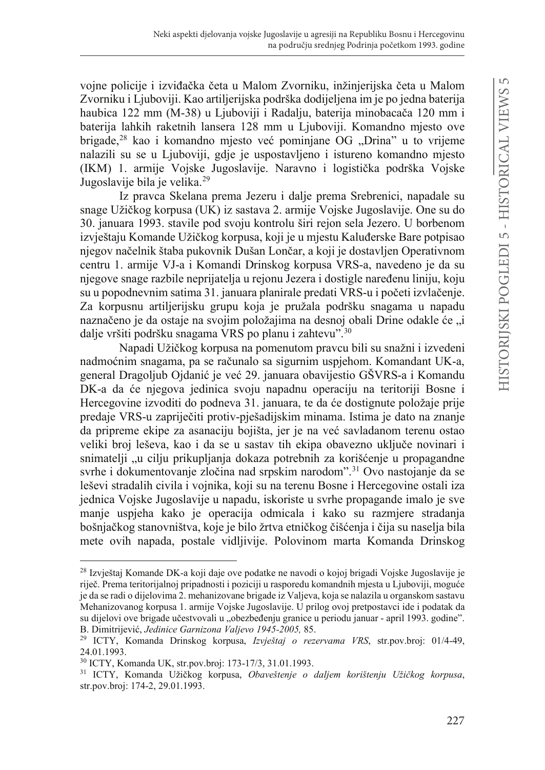vojne policije i izviđačka četa u Malom Zvorniku, inžinjerijska četa u Malom Zvorniku i Ljuboviji. Kao artiljerijska podrška dodijeljena im je po jedna baterija haubica 122 mm (M-38) u Ljuboviji i Radalju, baterija minobacača 120 mm i baterija lahkih raketnih lansera 128 mm u Ljuboviji. Komandno mjesto ove brigade,<sup>28</sup> kao i komandno miesto već pominiane OG "Drina" u to vrijeme nalazili su se u Ljuboviji, gdje je uspostavljeno i istureno komandno mjesto (IKM) 1. armije Vojske Jugoslavije. Naravno i logistička podrška Vojske Jugoslavije bila je velika.<sup>29</sup>

Iz pravca Skelana prema Jezeru i dalje prema Srebrenici, napadale su snage Užičkog korpusa (UK) iz sastava 2. armije Vojske Jugoslavije. One su do 30. januara 1993. stavile pod svoju kontrolu širi rejon sela Jezero. U borbenom izvještaju Komande Užičkog korpusa, koji je u mjestu Kaluđerske Bare potpisao niegov načelnik štaba pukovnik Dušan Lončar, a koji je dostavljen Operativnom centru 1. armije VJ-a i Komandi Drinskog korpusa VRS-a, navedeno je da su njegove snage razbile neprijatelja u rejonu Jezera i dostigle naređenu liniju, koju su u popodnevnim satima 31. januara planirale predati VRS-u i početi izvlačenje. Za korpusnu artiljerijsku grupu koja je pružala podršku snagama u napadu naznačeno je da ostaje na svojim položajima na desnoj obali Drine odakle će "i dalje vršiti podršku snagama VRS po planu i zahtevu".30

Napadi Užičkog korpusa na pomenutom pravcu bili su snažni i izvedeni nadmoćnim snagama, pa se računalo sa sigurnim uspjehom. Komandant UK-a, general Dragoljub Ojdanić je već 29. januara obavijestio GŠVRS-a i Komandu DK-a da će njegova jedinica svoju napadnu operaciju na teritoriji Bosne i Hercegovine izvoditi do podneva 31. januara, te da će dostignute položaje prije predaje VRS-u zapriječiti protiv-pješadijskim minama. Istima je dato na znanje da pripreme ekipe za asanaciju bojišta, jer je na već savladanom terenu ostao veliki broj leševa, kao i da se u sastav tih ekipa obavezno uključe novinari i snimatelji "u cilju prikupljanja dokaza potrebnih za korišćenje u propagandne svrhe i dokumentovanje zločina nad srpskim narodom".<sup>31</sup> Ovo nastojanje da se leševi stradalih civila i vojnika, koji su na terenu Bosne i Hercegovine ostali iza jednica Vojske Jugoslavije u napadu, iskoriste u svrhe propagande imalo je sve manje uspjeha kako je operacija odmicala i kako su razmjere stradanja bošnjačkog stanovništva, koje je bilo žrtva etničkog čišćenja i čija su naselja bila mete ovih napada, postale vidljivije. Polovinom marta Komanda Drinskog

<sup>28</sup> Izvještaj Komande DK-a koji daje ove podatke ne navodi o kojoj brigadi Vojske Jugoslavije je riječ. Prema teritorijalnoj pripadnosti i poziciji u rasporedu komandnih mjesta u Ljuboviji, moguće je da se radi o dijelovima 2. mehanizovane brigade iz Valjeva, koja se nalazila u organskom sastavu Mehanizovanog korpusa 1. armije Vojske Jugoslavije. U prilog ovoj pretpostavci ide i podatak da su dijelovi ove brigade učestvovali u "obezbeđenju granice u periodu januar - april 1993. godine".<br>B. Dimitrijević, Jedinice Garnizona Valjevo 1945-2005, 85.

<sup>&</sup>lt;sup>29</sup> ICTY, Komanda Drinskog korpusa, *Izvještaj o rezervama VRS*, str.pov.broj: 01/4-49, 24.01.1993.

<sup>30</sup> ICTY, Komanda UK, str.pov.broj: 173-17/3, 31.01.1993.

<sup>&</sup>lt;sup>31</sup> ICTY, Komanda Užičkog korpusa, Obaveštenje o daljem korištenju Užičkog korpusa, str.pov.broj: 174-2, 29.01.1993.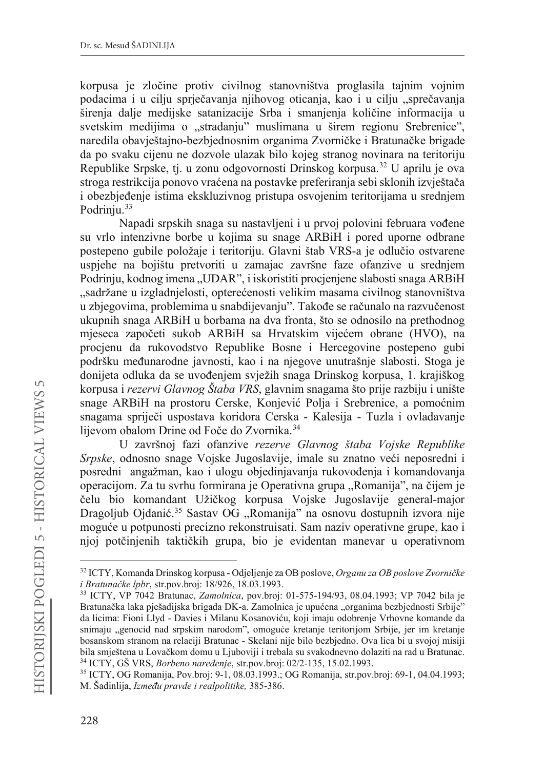korpusa je zločine protiv civilnog stanovništva proglasila tajnim vojnim podacima i u cilju sprječavanja njihovog oticanja, kao i u cilju "sprečavanja širenja dalje medijske satanizacije Srba i smanjenja količine informacija u svetskim medijima o "stradanju" muslimana u širem regionu Srebrenice", naredila obavieštajno-bezbiednosnim organima Zvorničke i Bratunačke brigade da po svaku cijenu ne dozvole ulazak bilo kojeg stranog novinara na teritoriju Republike Srpske, tj. u zonu odgovornosti Drinskog korpusa.32 U aprilu je ova stroga restrikcija ponovo vraćena na postavke preferiranja sebi sklonih izvještača i obezbjeđenje istima ekskluzivnog pristupa osvojenim teritorijama u srednjem Podriniu.<sup>33</sup>

Napadi srpskih snaga su nastavljeni i u prvoj polovini februara vođene su vrlo intenzivne borbe u kojima su snage ARBiH i pored uporne odbrane postepeno gubile položaje i teritoriju. Glavni štab VRS-a je odlučio ostvarene uspjehe na bojištu pretvoriti u zamajac završne faze ofanzive u srednjem Podrinju, kodnog imena "UDAR", i iskoristiti procjenjene slabosti snaga ARBiH "sadržane u izgladnjelosti, opterećenosti velikim masama civilnog stanovništva u zbjegovima, problemima u snabdijevanju". Takođe se računalo na razvučenost ukupnih snaga ARBiH u borbama na dva fronta, što se odnosilo na prethodnog mjeseca započeti sukob ARBiH sa Hrvatskim vijećem obrane (HVO), na procjenu da rukovodstvo Republike Bosne i Hercegovine postepeno gubi podršku međunarodne javnosti, kao i na njegove unutrašnje slabosti. Stoga je donijeta odluka da se uvođenjem svježih snaga Drinskog korpusa, 1. krajiškog korpusa i *rezervi Glavnog Štaba VRS*, glavnim snagama što prije razbiju i unište snage ARBiH na prostoru Cerske, Konjević Polja i Srebrenice, a pomoćnim snagama spriječi uspostava koridora Cerska - Kalesija - Tuzla i ovladavanje lijevom obalom Drine od Foče do Zvornika.<sup>34</sup>

U završnoj fazi ofanzive *rezerve Glavnog štaba Vojske Republike Srpske*, odnosno snage Vojske Jugoslavije, imale su znatno veći neposredni i posredni angažman, kao i ulogu objedinjavanja rukovođenja i komandovanja operacijom. Za tu svrhu formirana je Operativna grupa "Romanija", na čijem je čelu bio komandant Užičkog korpusa Vojske Jugoslavije general-major Dragoljub Ojdanić.<sup>35</sup> Sastav OG "Romanija" na osnovu dostupnih izvora nije moguće u potpunosti precizno rekonstruisati. Sam naziv operativne grupe, kao i njoj potčinjenih taktičkih grupa, bio je evidentan manevar u operativnom

<sup>&</sup>lt;sup>32</sup> ICTY, Komanda Drinskog korpusa - Odjeljenje za OB poslove, Organu za OB poslove Zvorničke *i Bratunačke lpbr*, str.pov.broj: 18/926, 18.03.1993.

<sup>33</sup> ICTY, VP 7042 Bratunac, *Zamolnica*, pov.broj: 01-575-194/93, 08.04.1993; VP 7042 bila je Bratunačka laka pješadijska brigada DK-a. Zamolnica je upućena "organima bezbjednosti Srbije" da licima: Fioni Llyd - Davies i Milanu Kosanoviću, koji imaju odobrenje Vrhovne komande da snimaju "genocid nad srpskim narodom", omoguće kretanje teritorijom Srbije, jer im kretanje bosanskom stranom na relaciji Bratunac - Skelani nije bilo bezbjedno. Ova lica bi u svojoj misiji bila smještena u Lovačkom domu u Ljuboviji i trebala su svakodnevno dolaziti na rad u Bratunac. <sup>34</sup> ICTY, GŠ VRS, *Borbeno naređenje*, str.pov.broj: 02/2-135, 15.02.1993.

<sup>35</sup> ICTY, OG Romanija, Pov.broj: 9-1, 08.03.1993.; OG Romanija, str.pov.broj: 69-1, 04.04.1993; M. Šadinlija, *Između pravde i realpolitike*, 385-386.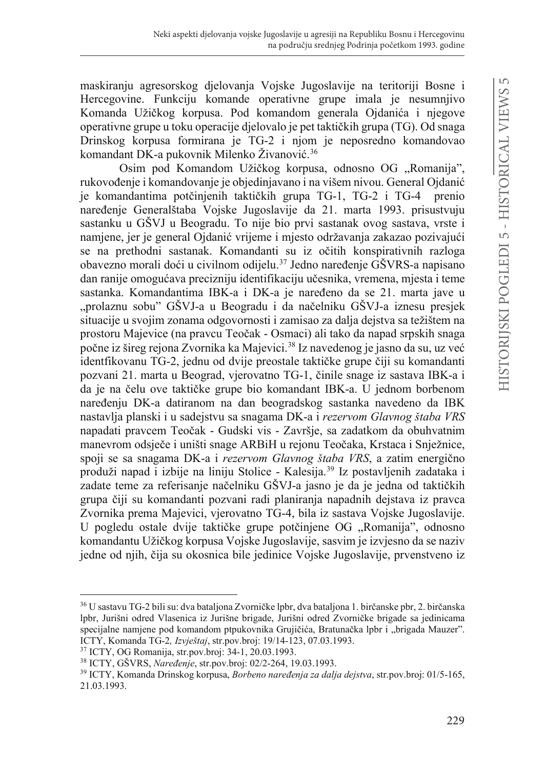maskiranju agresorskog djelovanja Vojske Jugoslavije na teritoriji Bosne i Hercegovine. Funkciju komande operativne grupe imala je nesumnjivo Komanda Užičkog korpusa. Pod komandom generala Ojdanića i njegove operativne grupe u toku operacije djelovalo je pet taktičkih grupa (TG). Od snaga Drinskog korpusa formirana je TG-2 i njom je neposredno komandovao komandant DK-a pukovnik Milenko Živanović.<sup>36</sup>

Osim pod Komandom Užičkog korpusa, odnosno OG "Romanija", rukovođenje i komandovanje je objedinjavano i na višem nivou. General Ojdanić je komandantima potčinjenih taktičkih grupa TG-1, TG-2 i TG-4 prenio naređenje Generalštaba Vojske Jugoslavije da 21. marta 1993. prisustvuju sastanku u GŠVJ u Beogradu. To nije bio prvi sastanak ovog sastava, vrste i namjene, jer je general Ojdanić vrijeme i mjesto održavanja zakazao pozivajući se na prethodni sastanak. Komandanti su iz očitih konspirativnih razloga obavezno morali doći u civilnom odijelu.<sup>37</sup> Jedno naređenje GŠVRS-a napisano dan ranije omogućava precizniju identifikaciju učesnika, vremena, mjesta i teme sastanka. Komandantima IBK-a i DK-a je naređeno da se 21. marta jave u "prolaznu sobu" GŠVJ-a u Beogradu i da načelniku GŠVJ-a iznesu presjek situacije u svojim zonama odgovornosti i zamisao za dalja dejstva sa težištem na prostoru Majevice (na pravcu Teočak - Osmaci) ali tako da napad srpskih snaga počne iz šireg rejona Zvornika ka Majevici.<sup>38</sup> Iz navedenog je jasno da su, uz već identfikovanu TG-2, jednu od dvije preostale taktičke grupe čiji su komandanti pozvani 21. marta u Beograd, vjerovatno TG-1, činile snage iz sastava IBK-a i da je na čelu ove taktičke grupe bio komandant IBK-a. U jednom borbenom naređenju DK-a datiranom na dan beogradskog sastanka navedeno da IBK nastavlja planski i u sadejstvu sa snagama DK-a i *rezervom Glavnog štaba VRS* napadati pravcem Teočak - Gudski vis - Završje, sa zadatkom da obuhvatnim manevrom odsječe i uništi snage ARBiH u rejonu Teočaka, Krstaca i Snježnice, spoji se sa snagama DK-a i *rezervom Glavnog štaba VRS*, a zatim energično produži napad i izbije na liniju Stolice - Kalesija.39 Iz postavljenih zadataka i zadate teme za referisanje načelniku GŠVJ-a jasno je da je jedna od taktičkih grupa čiji su komandanti pozvani radi planiranja napadnih dejstava iz pravca Zvornika prema Majevici, vjerovatno TG-4, bila iz sastava Vojske Jugoslavije. U pogledu ostale dvije taktičke grupe potčinjene OG "Romanija", odnosno komandantu Užičkog korpusa Vojske Jugoslavije, sasvim je izvjesno da se naziv jedne od njih, čija su okosnica bile jedinice Vojske Jugoslavije, prvenstveno iz

<sup>36</sup> U sastavu TG-2 bili su: dva bataljona Zvorničke lpbr, dva bataljona 1. birčanske pbr, 2. birčanska lpbr, Jurišni odred Vlasenica iz Jurišne brigade, Jurišni odred Zvorničke brigade sa jedinicama specijalne namjene pod komandom ptpukovnika Grujičića, Bratunačka lpbr i "brigada Mauzer".<br>ICTY, Komanda TG-2. *Izvještaj*, str.pov.broj: 19/14-123, 07.03.1993.

<sup>&</sup>lt;sup>37</sup> ICTY, OG Romanija, str.pov.broj: 34-1, 20.03.1993.<br><sup>38</sup> ICTY, GŠVRS, *Naređenje*, str.pov.broj: 02/2-264, 19.03.1993.

<sup>&</sup>lt;sup>39</sup> ICTY, Komanda Drinskog korpusa, *Borbeno naređenja za dalja dejstva*, str.pov.broj: 01/5-165, 21.03.1993.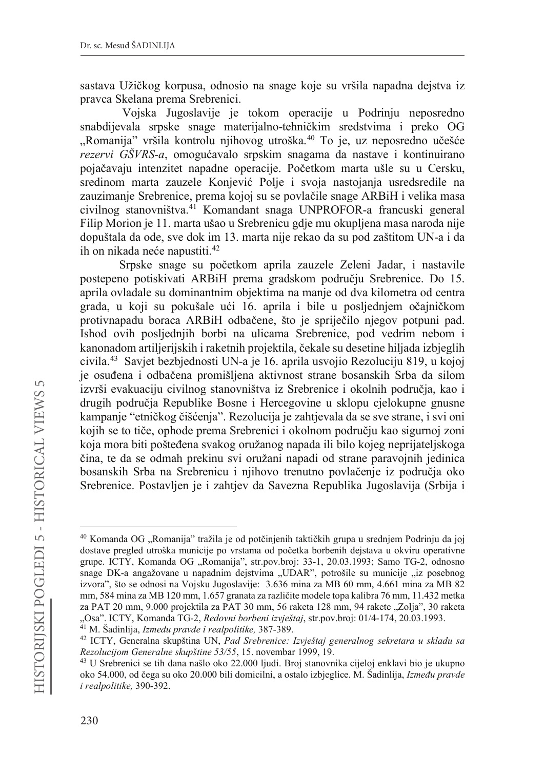sastava Užičkog korpusa, odnosio na snage koje su vršila napadna dejstva iz pravca Skelana prema Srebrenici.

Vojska Jugoslavije je tokom operacije u Podrinju neposredno snabdijevala srpske snage materijalno-tehničkim sredstvima i preko OG "Romanija" vršila kontrolu njihovog utroška.<sup>40</sup> To je, uz neposredno učešće *rezervi GŠVRS-a*, omogućavalo srpskim snagama da nastave i kontinuirano pojačavaju intenzitet napadne operacije. Početkom marta ušle su u Cersku, sredinom marta zauzele Konjević Polje i svoja nastojanja usredsredile na zauzimanje Srebrenice, prema kojoj su se povlačile snage ARBiH i velika masa civilnog stanovništva.41 Komandant snaga UNPROFOR-a francuski general Filip Morion je 11. marta ušao u Srebrenicu gdje mu okupljena masa naroda nije dopuštala da ode, sve dok im 13. marta nije rekao da su pod zaštitom UN-a i da ih on nikada neće napustiti.<sup>42</sup>

Srpske snage su početkom aprila zauzele Zeleni Jadar, i nastavile postepeno potiskivati ARBiH prema gradskom području Srebrenice. Do 15. aprila ovladale su dominantnim objektima na manje od dva kilometra od centra grada, u koji su pokušale ući 16. aprila i bile u posljednjem očajničkom protivnapadu boraca ARBiH odbačene, što je spriječilo njegov potpuni pad. Ishod ovih posljednjih borbi na ulicama Srebrenice, pod vedrim nebom i kanonadom artiljerijskih i raketnih projektila, čekale su desetine hiljada izbjeglih civila.43 Savjet bezbjednosti UN-a je 16. aprila usvojio Rezoluciju 819, u kojoj je osuđena i odbačena promišljena aktivnost strane bosanskih Srba da silom izvrši evakuaciju civilnog stanovništva iz Srebrenice i okolnih područja, kao i drugih područja Republike Bosne i Hercegovine u sklopu cjelokupne gnusne kampanje "etničkog čišćenja". Rezolucija je zahtjevala da se sve strane, i svi oni kojih se to tiče, ophode prema Srebrenici i okolnom području kao sigurnoj zoni koja mora biti pošteđena svakog oružanog napada ili bilo kojeg neprijateljskoga čina, te da se odmah prekinu svi oružani napadi od strane paravojnih jedinica bosanskih Srba na Srebrenicu i njihovo trenutno povlačenje iz područja oko Srebrenice. Postavljen je i zahtjev da Savezna Republika Jugoslavija (Srbija i

<sup>&</sup>lt;sup>40</sup> Komanda OG "Romanija" tražila je od potčinjenih taktičkih grupa u srednjem Podrinju da joj dostave pregled utroška municije po vrstama od početka borbenih dejstava u okviru operativne grupe. ICTY, Komanda OG "Romanija", str.pov.broj: 33-1, 20.03.1993; Samo TG-2, odnosno snage DK-a angažovane u napadnim dejstvima "UDAR", potrošile su municije "iz posebnog izvora", što se odnosi na Vojsku Jugoslavije: 3.636 mina za MB 60 mm, 4.661 mina za MB 82 mm, 584 mina za MB 120 mm, 1.657 granata za različite modele topa kalibra 76 mm, 11.432 metka za PAT 20 mm, 9.000 projektila za PAT 30 mm, 56 raketa 128 mm, 94 rakete "Zolja", 30 raketa "Osa". ICTY, Komanda TG-2, *Redovni borbeni izvještaj*, str.pov.broj: 01/4-174, 20.03.1993.

<sup>&</sup>lt;sup>41</sup> M. Šadinlija, *Između pravde i realpolitike*, 387-389.

<sup>42</sup> ICTY, Generalna skupština UN, *Pad Srebrenice: Izvještaj generalnog sekretara u skladu sa* 

<sup>&</sup>lt;sup>43</sup> U Srebrenici se tih dana našlo oko 22.000 ljudi. Broj stanovnika cijeloj enklavi bio je ukupno oko 54.000, od čega su oko 20.000 bili domicilni, a ostalo izbjeglice. M. Šadinlija, *Između pravde i realpolitike,* 390-392.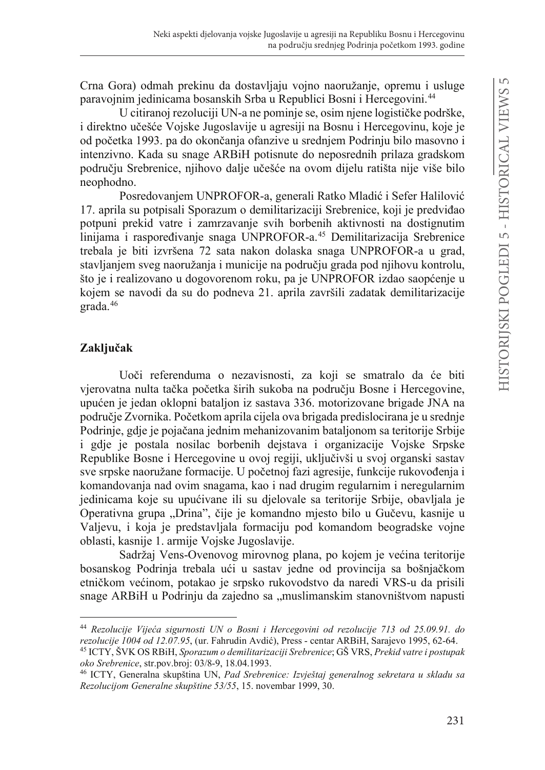Crna Gora) odmah prekinu da dostavljaju vojno naoružanje, opremu i usluge paravojnim jedinicama bosanskih Srba u Republici Bosni i Hercegovini.44

U citiranoj rezoluciji UN-a ne pominje se, osim njene logističke podrške, i direktno učešće Vojske Jugoslavije u agresiji na Bosnu i Hercegovinu, koje je od početka 1993. pa do okončania ofanzive u srednjem Podrinju bilo masovno i intenzivno. Kada su snage ARBiH potisnute do neposrednih prilaza gradskom području Srebrenice, njihovo dalje učešće na ovom dijelu ratišta nije više bilo neophodno.

Posredovanjem UNPROFOR-a, generali Ratko Mladić i Sefer Halilović 17. aprila su potpisali Sporazum o demilitarizaciji Srebrenice, koji je predviđao potpuni prekid vatre i zamrzavanje svih borbenih aktivnosti na dostignutim linijama i raspoređivanje snaga UNPROFOR-a.<sup>45</sup> Demilitarizacija Srebrenice trebala je biti izvršena 72 sata nakon dolaska snaga UNPROFOR-a u grad, stavljanjem sveg naoružanja i municije na području grada pod njihovu kontrolu, što je i realizovano u dogovorenom roku, pa je UNPROFOR izdao saopćenje u kojem se navodi da su do podneva 21. aprila završili zadatak demilitarizacije grada.46

## Zaključak

Uoči referenduma o nezavisnosti, za koji se smatralo da će biti vjerovatna nulta tačka početka širih sukoba na području Bosne i Hercegovine, upućen je jedan oklopni bataljon iz sastava 336. motorizovane brigade JNA na područje Zvornika. Početkom aprila cijela ova brigada predislocirana je u srednje Podrinje, gdje je pojačana jednim mehanizovanim bataljonom sa teritorije Srbije i gdje je postala nosilac borbenih dejstava i organizacije Vojske Srpske Republike Bosne i Hercegovine u ovoj regiji, uključivši u svoj organski sastav sve srpske naoružane formacije. U početnoj fazi agresije, funkcije rukovođenja i komandovanja nad ovim snagama, kao i nad drugim regularnim i neregularnim jedinicama koje su upućivane ili su djelovale sa teritorije Srbije, obavljala je Operativna grupa "Drina", čije je komandno mjesto bilo u Gučevu, kasnije u Valjevu, i koja je predstavljala formaciju pod komandom beogradske vojne oblasti, kasnije 1. armije Vojske Jugoslavije.

Sadržaj Vens-Ovenovog mirovnog plana, po kojem je većina teritorije bosanskog Podrinja trebala ući u sastav jedne od provincija sa bošnjačkom etničkom većinom, potakao je srpsko rukovodstvo da naredi VRS-u da prisili snage ARBiH u Podrinju da zajedno sa "muslimanskim stanovništvom napusti

<sup>&</sup>lt;sup>44</sup> Rezolucije Vijeća sigurnosti UN o Bosni i Hercegovini od rezolucije 713 od 25.09.91. do *rezolucije 1004 od 12.07.95*, (ur. Fahrudin Avdić), Press - centar ARBiH, Sarajevo 1995, 62-64.

<sup>45</sup> ICTY, ŠVK OS RBiH, *Sporazum o demilitarizaciji Srebrenice*; GŠ VRS, *Prekid vatre i postupak oko Srebrenice*, str.pov.broj: 03/8-9, 18.04.1993. 46 ICTY, Generalna skupština UN, *Pad Srebrenice: Izvještaj generalnog sekretara u skladu sa* 

*Rezolucijom Generalne skupštine 53/55*, 15. novembar 1999, 30.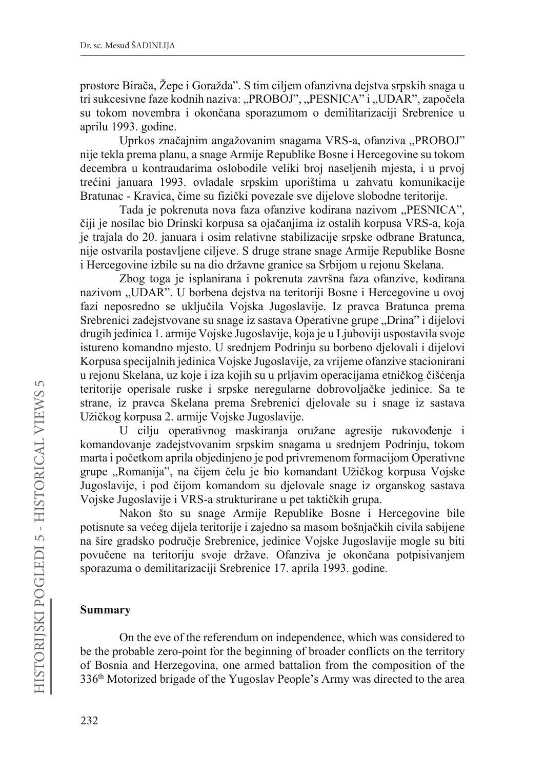prostore Birača, Žepe i Goražda". S tim ciljem ofanzivna dejstva srpskih snaga u tri sukcesivne faze kodnih naziva: "PROBOJ", "PESNICA" i "UDAR", započela su tokom novembra i okončana sporazumom o demilitarizaciji Srebrenice u aprilu 1993. godine.

Uprkos značajnim angažovanim snagama VRS-a, ofanziva "PROBOJ" nije tekla prema planu, a snage Armije Republike Bosne i Hercegovine su tokom decembra u kontraudarima oslobodile veliki broj naseljenih mjesta, i u prvoj trećini januara 1993. ovladale srpskim uporištima u zahvatu komunikacije Bratunac - Kravica, čime su fizički povezale sve dijelove slobodne teritorije.

Tada je pokrenuta nova faza ofanzive kodirana nazivom "PESNICA", čiji je nosilac bio Drinski korpusa sa ojačanjima iz ostalih korpusa VRS-a, koja je trajala do 20. januara i osim relativne stabilizacije srpske odbrane Bratunca, nije ostvarila postavljene ciljeve. S druge strane snage Armije Republike Bosne i Hercegovine izbile su na dio državne granice sa Srbijom u rejonu Skelana.

Zbog toga je isplanirana i pokrenuta završna faza ofanzive, kodirana nazivom "UDAR". U borbena dejstva na teritoriji Bosne i Hercegovine u ovoj fazi neposredno se uključila Vojska Jugoslavije. Iz pravca Bratunca prema Srebrenici zadejstvovane su snage iz sastava Operativne grupe "Drina" i dijelovi drugih jedinica 1. armije Vojske Jugoslavije, koja je u Ljuboviji uspostavila svoje istureno komandno mjesto. U srednjem Podrinju su borbeno djelovali i dijelovi Korpusa specijalnih jedinica Vojske Jugoslavije, za vrijeme ofanzive stacionirani u rejonu Skelana, uz koje i iza kojih su u prljavim operacijama etničkog čišćenja teritorije operisale ruske i srpske neregularne dobrovoljačke jedinice. Sa te strane, iz pravca Skelana prema Srebrenici djelovale su i snage iz sastava Užičkog korpusa 2. armije Vojske Jugoslavije.

U cilju operativnog maskiranja oružane agresije rukovođenje i komandovanje zadejstvovanim srpskim snagama u srednjem Podrinju, tokom marta i početkom aprila objedinjeno je pod privremenom formacijom Operativne grupe "Romanija", na čijem čelu je bio komandant Užičkog korpusa Vojske Jugoslavije, i pod čijom komandom su djelovale snage iz organskog sastava Vojske Jugoslavije i VRS-a strukturirane u pet taktičkih grupa.

Nakon što su snage Armije Republike Bosne i Hercegovine bile potisnute sa većeg dijela teritorije i zajedno sa masom bošnjačkih civila sabijene na šire gradsko područje Srebrenice, jedinice Vojske Jugoslavije mogle su biti povučene na teritoriju svoje države. Ofanziva je okončana potpisivanjem sporazuma o demilitarizaciji Srebrenice 17. aprila 1993. godine.

#### **Summary**

On the eve of the referendum on independence, which was considered to be the probable zero-point for the beginning of broader conflicts on the territory of Bosnia and Herzegovina, one armed battalion from the composition of the 336th Motorized brigade of the Yugoslav People's Army was directed to the area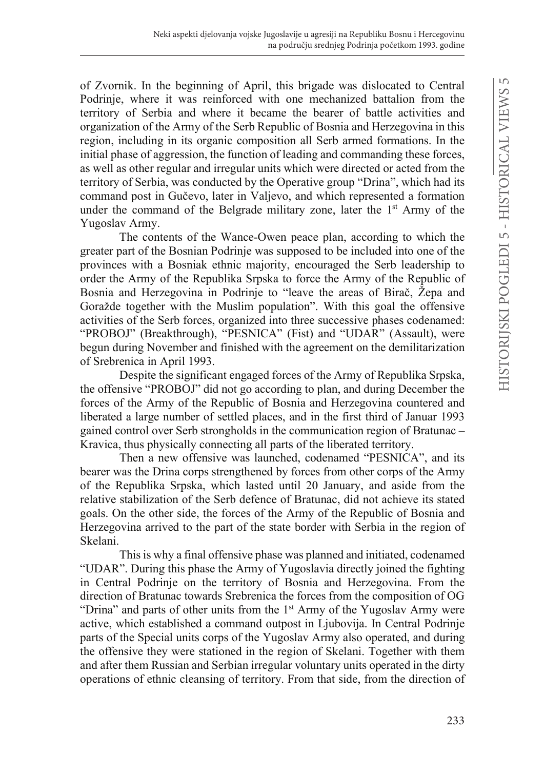of Zvornik. In the beginning of April, this brigade was dislocated to Central Podrinje, where it was reinforced with one mechanized battalion from the territory of Serbia and where it became the bearer of battle activities and organization of the Army of the Serb Republic of Bosnia and Herzegovina in this region, including in its organic composition all Serb armed formations. In the initial phase of aggression, the function of leading and commanding these forces, as well as other regular and irregular units which were directed or acted from the territory of Serbia, was conducted by the Operative group "Drina", which had its command post in Gučevo, later in Valjevo, and which represented a formation under the command of the Belgrade military zone, later the  $1<sup>st</sup>$  Army of the Yugoslav Army.

The contents of the Wance-Owen peace plan, according to which the greater part of the Bosnian Podrinje was supposed to be included into one of the provinces with a Bosniak ethnic majority, encouraged the Serb leadership to order the Army of the Republika Srpska to force the Army of the Republic of Bosnia and Herzegovina in Podrinje to "leave the areas of Birač, Žepa and Goražde together with the Muslim population". With this goal the offensive activities of the Serb forces, organized into three successive phases codenamed: "PROBOJ" (Breakthrough), "PESNICA" (Fist) and "UDAR" (Assault), were begun during November and finished with the agreement on the demilitarization of Srebrenica in April 1993.

Despite the significant engaged forces of the Army of Republika Srpska, the offensive "PROBOJ" did not go according to plan, and during December the forces of the Army of the Republic of Bosnia and Herzegovina countered and liberated a large number of settled places, and in the first third of Januar 1993 gained control over Serb strongholds in the communication region of Bratunac – Kravica, thus physically connecting all parts of the liberated territory.

Then a new offensive was launched, codenamed "PESNICA", and its bearer was the Drina corps strengthened by forces from other corps of the Army of the Republika Srpska, which lasted until 20 January, and aside from the relative stabilization of the Serb defence of Bratunac, did not achieve its stated goals. On the other side, the forces of the Army of the Republic of Bosnia and Herzegovina arrived to the part of the state border with Serbia in the region of Skelani.

This is why a final offensive phase was planned and initiated, codenamed "UDAR". During this phase the Army of Yugoslavia directly joined the fighting in Central Podrinje on the territory of Bosnia and Herzegovina. From the direction of Bratunac towards Srebrenica the forces from the composition of OG "Drina" and parts of other units from the  $1<sup>st</sup>$  Army of the Yugoslav Army were active, which established a command outpost in Ljubovija. In Central Podrinje parts of the Special units corps of the Yugoslav Army also operated, and during the offensive they were stationed in the region of Skelani. Together with them and after them Russian and Serbian irregular voluntary units operated in the dirty operations of ethnic cleansing of territory. From that side, from the direction of